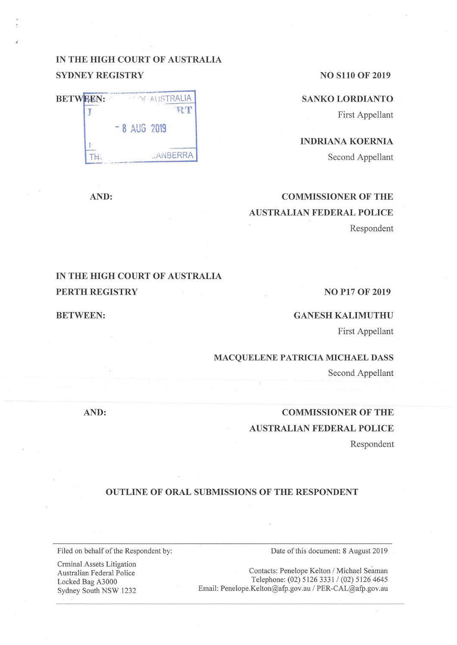## **IN THE HIGH COURT OF AUSTRALIA SYDNEY REGISTRY** NO S110 OF 2019

**SANKO LORDIANTO** 

First Appellant

**INDRIANA KOERNIA**  Second Appellant

## **COMMISSIONER OF THE AUSTRALIAN FEDERAL POLICE**  Respondent

## **IN THE HIGH COURT OF AUSTRALIA PERTH REGISTRY** NO P17 OF 2019

**BETWEEN:** 

#### **GANESH KALIMUTHU**

First Appellant

**MACQUELENE PATRICIA MICHAEL DASS** 

Second Appellant

# **COMMISSIONER OF THE AUSTRALIAN FEDERAL POLICE**

Respondent

#### **OUTLINE OF ORAL SUBMISSIONS OF THE RESPONDENT**

Filed on behalf of the Respondent by:

Crminal Assets Litigation Australian Federal Police Locked Bag A3000 Sydney South NSW 1232 Date of this document: 8 August 2019

Contacts: Penelope Kelton / Michael Seaman Telephone: (02) 5126 3331 / (02) 5126 4645 Email: Penelope.Kelton@afp.gov.au / PER-CAL@afp.gov.au

**AND:** 

**BET N:** ·····--. ~ lSTRALIA **J J** *H* t  $TH$ - **8 AUG 2019**  *JANBERRA* 

**AND:**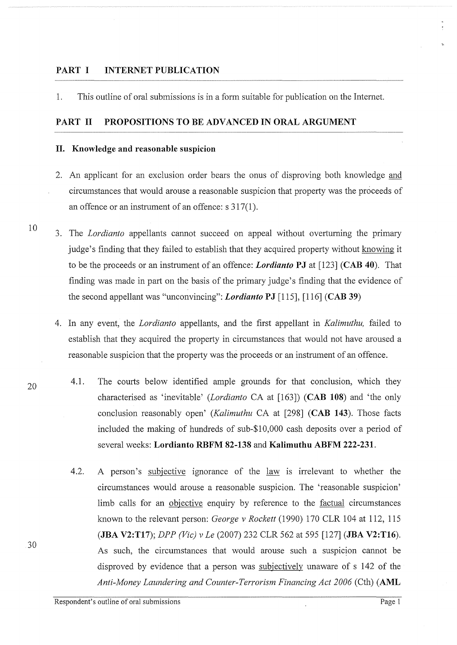### PART I **INTERNET PUBLICATION**

1. This outline of oral submissions is in a form suitable for publication on the Internet.

### PART II PROPOSITIONS TO BE ADVANCED IN ORAL ARGUMENT

#### **II. Knowledge and reasonable suspicion**

- 2. An applicant for an exclusion order bears the onus of disproving both knowledge and circumstances that would arouse a reasonable suspicion that property was the proceeds of an offence or an instrument of an offence: s 317(1).
- 3. The *Lordianto* appellants cannot succeed on appeal without overturning the primary judge's finding that they failed to establish that they acquired property without knowing it to be the proceeds or an instrument of an offence: *Lordianto* **PJ** at [123] **(CAB 40).** That finding was made in part on the basis of the primary judge's finding that the evidence of the second appellant was "unconvincing": *Lordianto* **PJ** [115], [116] **(CAB 39)** 
	- 4. In any event, the *Lordianto* appellants, and the first appellant in *Kalimuthu,* failed to establish that they acquired the property in circumstances that would not have aroused a reasonable suspicion that the property was the proceeds or an instrument of an offence.
		- 4.1. The courts below identified ample grounds for that conclusion, which they characterised as 'inevitable' *(Lordianto* CA at [163]) **(CAB 108)** and 'the only conclusion reasonably open' *(Kalimuthu* CA at [298] **(CAB 143).** Those facts included the making of hundreds of sub-\$10,000 cash deposits over a period of several weeks: **Lordianto RBFM 82-138** and **Kalimuthu ABFM 222-231.** 
			- 4.2. A person's subjective ignorance of the <u>law</u> is irrelevant to whether the circumstances would arouse a reasonable suspicion. The 'reasonable suspicion' limb calls for an objective enquiry by reference to the <u>factual</u> circumstances known to the relevant person: *George v Rockett* (1990) 170 CLR 104 at 112, 115 **(JBA V2:T17);** *DPP (Vic) v Le* (2007) 232 CLR 562 at 595 [127] **(JBA V2:T16).**  As such, the circumstances that would arouse such a suspicion cannot be disproved by evidence that a person was subjectively unaware of s 142 of the *Anti-Money Laundering and Counter-Terrorism Financing Act 2006* (Cth) **(AML**

20

30

10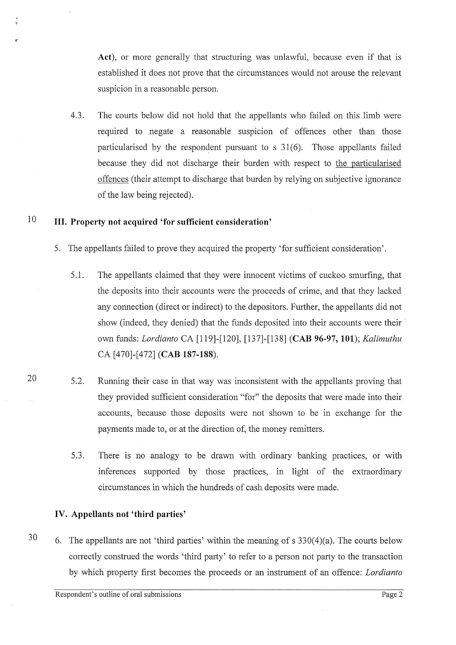Act), or more generally that structuring was unlawful, because even if that is established it does not prove that the circumstances would not arouse the relevant suspicion in a reasonable person.

4.3. The courts below did not hold that the appellants who failed on this limb were required to negate a reasonable suspicion of offences other than those particularised by the respondent pursuant to  $s$  31(6). Those appellants failed because they did not discharge their burden with respect to the particularised offences (their attempt to discharge that burden by relying on subjective ignorance of the law being rejected).

#### 10 **III. Property not acquired 'for sufficient consideration'**

- 5. The appellants failed to prove they acquired the property 'for sufficient consideration'.
	- 5.1. The appellants claimed that they were innocent victims of cuckoo smurfing, that the deposits into their accounts were the proceeds of crime, and that they lacked any connection (direct or indirect) to the depositors. Further, the appellants did not show (indeed, they denied) that the funds deposited into their accounts were their · own funds: *Lordianto* CA [119]-[120], [137]-[138] **(CAB 96-97, 101);** *Kalimuthu*  CA [470]-[472] **(CAB 187-188).**
	- 5.2. Running their case in that way was inconsistent with the appellants proving that they provided sufficient consideration "for" the deposits that were made into their accounts, because those deposits were not shown to be in exchange for the payments made to, or at the direction of, the money remitters.
		- 5 .3. There is no analogy to be drawn with ordinary banking practices, or with inferences supported by those practices, in light of the extraordinary circumstances in which the hundreds of cash deposits were made.

## **IV. Appellants not 'third parties'**

30 6. The appellants are not 'third parties' within the meaning of  $s$  330(4)(a). The courts below correctly construed the words 'third party' to refer to a person not party to the transaction by which property first becomes the proceeds or an instrument of an offence: *Lordianto* 

20